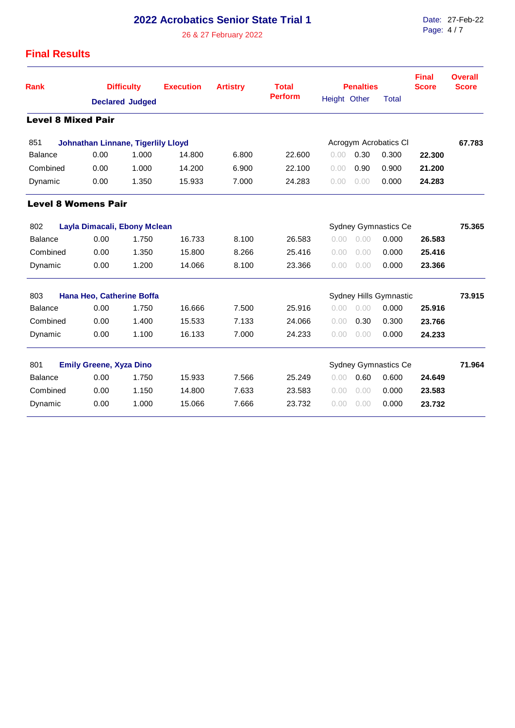## **2022 Acrobatics Senior State Trial 1**

26 & 27 February 2022

## **Final Results**

| <b>Rank</b>                                                          | <b>Difficulty</b>                  |                        | <b>Execution</b>            | <b>Artistry</b> | <b>Total</b>   | <b>Penalties</b> |                       |              | <b>Final</b><br><b>Score</b> | <b>Overall</b><br><b>Score</b> |
|----------------------------------------------------------------------|------------------------------------|------------------------|-----------------------------|-----------------|----------------|------------------|-----------------------|--------------|------------------------------|--------------------------------|
|                                                                      |                                    | <b>Declared Judged</b> |                             |                 | <b>Perform</b> | Height Other     |                       | <b>Total</b> |                              |                                |
| <b>Level 8 Mixed Pair</b>                                            |                                    |                        |                             |                 |                |                  |                       |              |                              |                                |
| 851                                                                  | Johnathan Linnane, Tigerlily Lloyd |                        |                             |                 |                |                  | Acrogym Acrobatics Cl |              | 67.783                       |                                |
| <b>Balance</b>                                                       | 0.00                               | 1.000                  | 14.800                      | 6.800           | 22,600         | 0.00             | 0.30                  | 0.300        | 22,300                       |                                |
| Combined                                                             | 0.00                               | 1.000                  | 14.200                      | 6.900           | 22.100         | 0.00             | 0.90                  | 0.900        | 21.200                       |                                |
| Dynamic                                                              | 0.00                               | 1.350                  | 15.933                      | 7.000           | 24.283         | 0.00             | 0.00                  | 0.000        | 24.283                       |                                |
| <b>Level 8 Womens Pair</b>                                           |                                    |                        |                             |                 |                |                  |                       |              |                              |                                |
| 802                                                                  | Layla Dimacali, Ebony Mclean       |                        | <b>Sydney Gymnastics Ce</b> | 75.365          |                |                  |                       |              |                              |                                |
| <b>Balance</b>                                                       | 0.00                               | 1.750                  | 16.733                      | 8.100           | 26.583         | 0.00             | 0.00                  | 0.000        | 26.583                       |                                |
| Combined                                                             | 0.00                               | 1.350                  | 15,800                      | 8.266           | 25.416         | 0.00             | 0.00                  | 0.000        | 25.416                       |                                |
| Dynamic                                                              | 0.00                               | 1.200                  | 14.066                      | 8.100           | 23.366         | 0.00             | 0.00                  | 0.000        | 23.366                       |                                |
| 803<br>Hana Heo, Catherine Boffa                                     |                                    | Sydney Hills Gymnastic |                             |                 |                | 73.915           |                       |              |                              |                                |
| Balance                                                              | 0.00                               | 1.750                  | 16.666                      | 7.500           | 25.916         | 0.00             | 0.00                  | 0.000        | 25.916                       |                                |
| Combined                                                             | 0.00                               | 1.400                  | 15.533                      | 7.133           | 24.066         | 0.00             | 0.30                  | 0.300        | 23.766                       |                                |
| Dynamic                                                              | 0.00                               | 1.100                  | 16.133                      | 7.000           | 24.233         | 0.00             | 0.00                  | 0.000        | 24.233                       |                                |
| 801<br><b>Sydney Gymnastics Ce</b><br><b>Emily Greene, Xyza Dino</b> |                                    |                        |                             |                 |                |                  |                       | 71.964       |                              |                                |
| <b>Balance</b>                                                       | 0.00                               | 1.750                  | 15.933                      | 7.566           | 25.249         | 0.00             | 0.60                  | 0.600        | 24.649                       |                                |
| Combined                                                             | 0.00                               | 1.150                  | 14.800                      | 7.633           | 23.583         | 0.00             | 0.00                  | 0.000        | 23.583                       |                                |
| Dynamic                                                              | 0.00                               | 1.000                  | 15.066                      | 7.666           | 23.732         | 0.00             | 0.00                  | 0.000        | 23.732                       |                                |